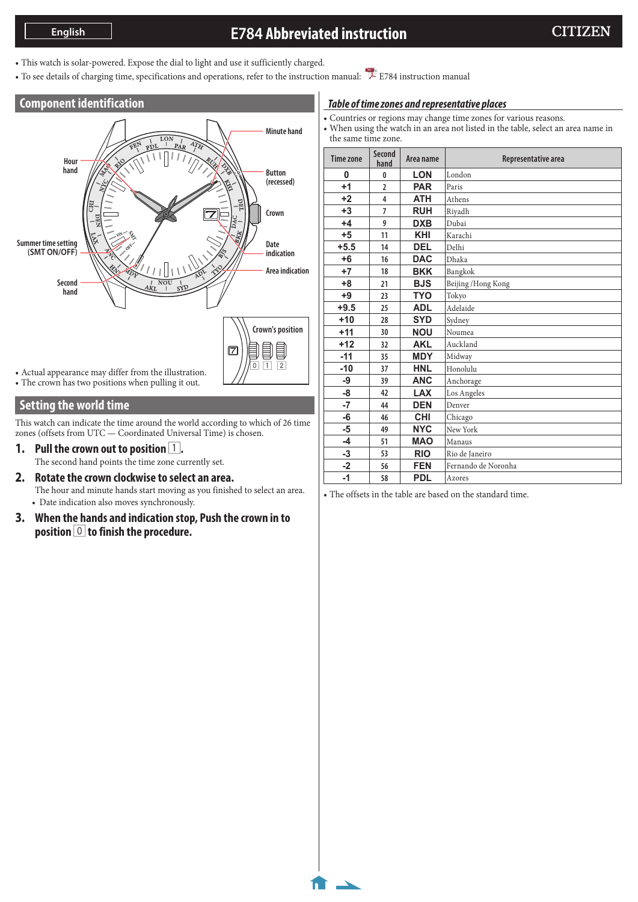# **E784 Abbreviated instruction**

- This watch is solar-powered. Expose the dial to light and use it sufficiently charged.
- To see details of charging time, specifications and operations, refer to the instruction manual: [E784 instruction manual](http://www.citizenwatch-global.com/support/pdf/e784/e.pdf)

#### **Component identification**



• The crown has two positions when pulling it out.

#### **Setting the world time**

This watch can indicate the time around the world according to which of 26 time zones (offsets from UTC — Coordinated Universal Time) is chosen.

**1.** Pull the crown out to position  $\boxed{1}$ . The second hand points the time zone currently set.

**2. Rotate the crown clockwise to select an area.**

The hour and minute hands start moving as you finished to select an area. • Date indication also moves synchronously.

**3. When the hands and indication stop, Push the crown in to position** 0 **to finish the procedure.**

#### *Table of time zones and representative places*

- Countries or regions may change time zones for various reasons.
- When using the watch in an area not listed in the table, select an area name in the same time zone.

| Time zone | <b>Second</b><br>hand | Area name  | Representative area |
|-----------|-----------------------|------------|---------------------|
| 0         | 0                     | <b>LON</b> | London              |
| $+1$      | $\overline{2}$        | <b>PAR</b> | Paris               |
| $+2$      | 4                     | <b>ATH</b> | Athens              |
| $+3$      | $\overline{7}$        | <b>RUH</b> | Riyadh              |
| $+4$      | 9                     | <b>DXB</b> | Dubai               |
| $+5$      | 11                    | <b>KHI</b> | Karachi             |
| $+5.5$    | 14                    | <b>DEL</b> | Delhi               |
| $+6$      | 16                    | <b>DAC</b> | Dhaka               |
| $+7$      | 18                    | <b>BKK</b> | Bangkok             |
| $+8$      | 21                    | <b>BJS</b> | Beijing / Hong Kong |
| $+9$      | 23                    | <b>TYO</b> | Tokyo               |
| $+9.5$    | 25                    | <b>ADL</b> | Adelaide            |
| $+10$     | 28                    | <b>SYD</b> | Sydney              |
| $+11$     | 30                    | <b>NOU</b> | Noumea              |
| $+12$     | 32                    | <b>AKL</b> | Auckland            |
| $-11$     | 35                    | <b>MDY</b> | Midway              |
| $-10$     | 37                    | <b>HNL</b> | Honolulu            |
| -9        | 39                    | <b>ANC</b> | Anchorage           |
| -8        | 42                    | <b>LAX</b> | Los Angeles         |
| $-7$      | 44                    | <b>DEN</b> | Denver              |
| -6        | 46                    | <b>CHI</b> | Chicago             |
| $-5$      | 49                    | <b>NYC</b> | New York            |
| $-4$      | 51                    | <b>MAO</b> | Manaus              |
| $-3$      | 53                    | <b>RIO</b> | Rio de Janeiro      |
| $-2$      | 56                    | <b>FEN</b> | Fernando de Noronha |
| $-1$      | 58                    | <b>PDL</b> | Azores              |

• The offsets in the table are based on the standard time.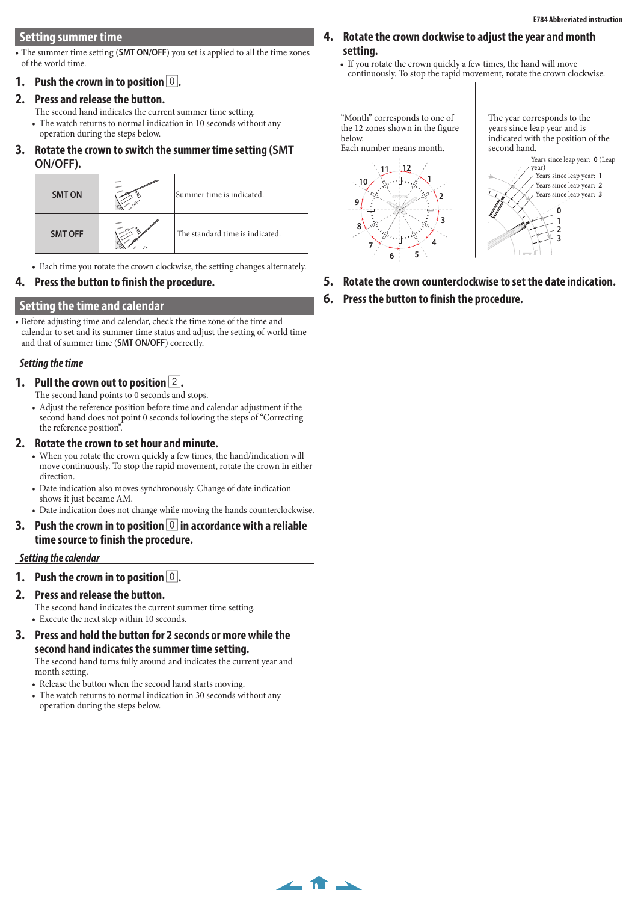# **Setting summer time**

• The summer time setting (**SMT ON/OFF**) you set is applied to all the time zones of the world time.

# **1. Push the crown in to position** 0**.**

# **2. Press and release the button.**

The second hand indicates the current summer time setting. • The watch returns to normal indication in 10 seconds without any operation during the steps below.

**3. Rotate the crown to switch the summer time setting (SMT ON/OFF).** i to switch the summer til

| UI 17 UI 17.   |                                 |
|----------------|---------------------------------|
| <b>SMT ON</b>  | Summer time is indicated.       |
| <b>SMT OFF</b> | The standard time is indicated. |

n clockwise, the s he crown cloc • Each time you rotate the crown clockwise, the setting changes alternately.

### **4. Press the button to finish the procedure.**

### **Setting the time and calendar**

• Before adjusting time and calendar, check the time zone of the time and calendar to set and its summer time status and adjust the setting of world time and that of summer time (**SMT ON/OFF**) correctly.

#### *Setting the time*

### **1. Pull the crown out to position** 2**.**

- The second hand points to 0 seconds and stops.
- Adjust the reference position before time and calendar adjustment if the second hand does not point 0 seconds following the steps of "Correcting the reference position".

### **2. Rotate the crown to set hour and minute.**

- When you rotate the crown quickly a few times, the hand/indication will move continuously. To stop the rapid movement, rotate the crown in either direction.
- Date indication also moves synchronously. Change of date indication shows it just became AM.
- Date indication does not change while moving the hands counterclockwise.
- **3.** Push the crown in to position  $\vert 0 \vert$  in accordance with a reliable **time source to finish the procedure.**

#### *Setting the calendar*

### **1.** Push the crown in to position **0**.

#### **2. Press and release the button.**

The second hand indicates the current summer time setting. • Execute the next step within 10 seconds.

**3. Press and hold the button for 2 seconds or more while the second hand indicates the summer time setting.**

The second hand turns fully around and indicates the current year and month setting.

 $\leftarrow$  fr  $\rightarrow$ 

- Release the button when the second hand starts moving.
- The watch returns to normal indication in 30 seconds without any operation during the steps below.

### **4. Rotate the crown clockwise to adjust the year and month setting.**

• If you rotate the crown quickly a few times, the hand will move continuously. To stop the rapid movement, rotate the crown clockwise.

"Month" corresponds to one of the 12 zones shown in the figure below.

Each number means month.



The year corresponds to the years since leap year and is indicated with the position of the second hand.



- **5. Rotate the crown counterclockwise to set the date indication.**
- **6. Press the button to finish the procedure.**